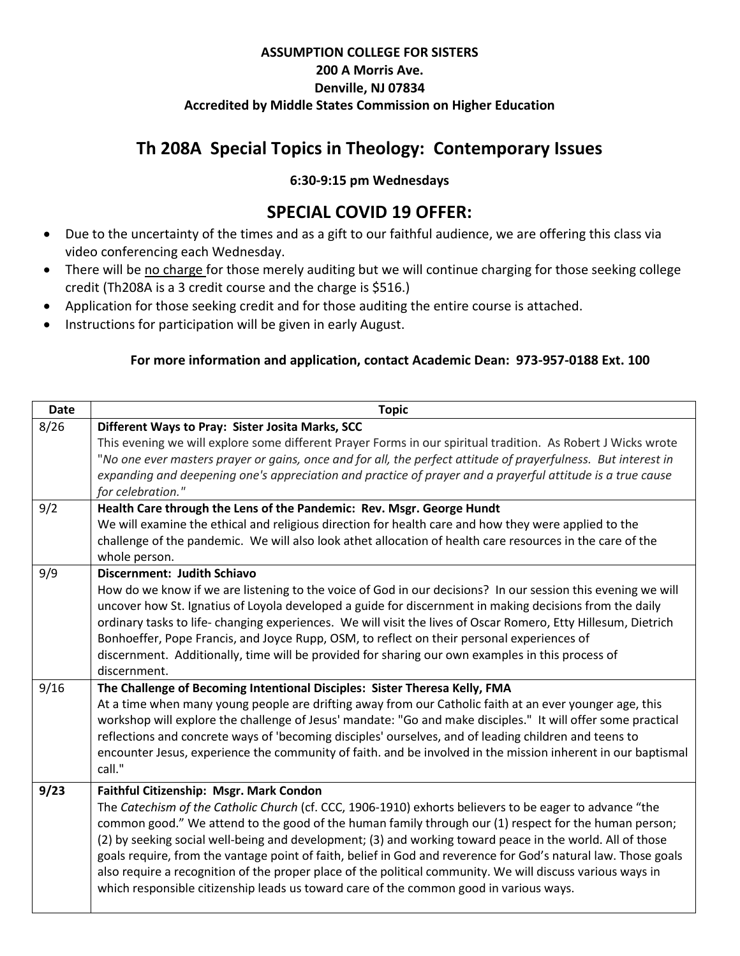### **ASSUMPTION COLLEGE FOR SISTERS 200 A Morris Ave. Denville, NJ 07834 Accredited by Middle States Commission on Higher Education**

# **Th 208A Special Topics in Theology: Contemporary Issues**

#### **6:30-9:15 pm Wednesdays**

## **SPECIAL COVID 19 OFFER:**

- Due to the uncertainty of the times and as a gift to our faithful audience, we are offering this class via video conferencing each Wednesday.
- There will be no charge for those merely auditing but we will continue charging for those seeking college credit (Th208A is a 3 credit course and the charge is \$516.)
- Application for those seeking credit and for those auditing the entire course is attached.
- Instructions for participation will be given in early August.

#### **For more information and application, contact Academic Dean: 973-957-0188 Ext. 100**

| <b>Date</b> | <b>Topic</b>                                                                                                                                                                                         |
|-------------|------------------------------------------------------------------------------------------------------------------------------------------------------------------------------------------------------|
| 8/26        | Different Ways to Pray: Sister Josita Marks, SCC                                                                                                                                                     |
|             | This evening we will explore some different Prayer Forms in our spiritual tradition. As Robert J Wicks wrote                                                                                         |
|             | "No one ever masters prayer or gains, once and for all, the perfect attitude of prayerfulness. But interest in                                                                                       |
|             | expanding and deepening one's appreciation and practice of prayer and a prayerful attitude is a true cause                                                                                           |
|             | for celebration."                                                                                                                                                                                    |
| 9/2         | Health Care through the Lens of the Pandemic: Rev. Msgr. George Hundt                                                                                                                                |
|             | We will examine the ethical and religious direction for health care and how they were applied to the                                                                                                 |
|             | challenge of the pandemic. We will also look athet allocation of health care resources in the care of the<br>whole person.                                                                           |
| 9/9         | Discernment: Judith Schiavo                                                                                                                                                                          |
|             | How do we know if we are listening to the voice of God in our decisions? In our session this evening we will                                                                                         |
|             | uncover how St. Ignatius of Loyola developed a guide for discernment in making decisions from the daily                                                                                              |
|             | ordinary tasks to life-changing experiences. We will visit the lives of Oscar Romero, Etty Hillesum, Dietrich                                                                                        |
|             | Bonhoeffer, Pope Francis, and Joyce Rupp, OSM, to reflect on their personal experiences of                                                                                                           |
|             | discernment. Additionally, time will be provided for sharing our own examples in this process of                                                                                                     |
|             | discernment.                                                                                                                                                                                         |
| 9/16        | The Challenge of Becoming Intentional Disciples: Sister Theresa Kelly, FMA                                                                                                                           |
|             | At a time when many young people are drifting away from our Catholic faith at an ever younger age, this                                                                                              |
|             | workshop will explore the challenge of Jesus' mandate: "Go and make disciples." It will offer some practical                                                                                         |
|             | reflections and concrete ways of 'becoming disciples' ourselves, and of leading children and teens to                                                                                                |
|             | encounter Jesus, experience the community of faith. and be involved in the mission inherent in our baptismal<br>call."                                                                               |
|             |                                                                                                                                                                                                      |
| 9/23        | Faithful Citizenship: Msgr. Mark Condon                                                                                                                                                              |
|             | The Catechism of the Catholic Church (cf. CCC, 1906-1910) exhorts believers to be eager to advance "the                                                                                              |
|             | common good." We attend to the good of the human family through our (1) respect for the human person;                                                                                                |
|             | (2) by seeking social well-being and development; (3) and working toward peace in the world. All of those                                                                                            |
|             | goals require, from the vantage point of faith, belief in God and reverence for God's natural law. Those goals                                                                                       |
|             | also require a recognition of the proper place of the political community. We will discuss various ways in<br>which responsible citizenship leads us toward care of the common good in various ways. |
|             |                                                                                                                                                                                                      |
|             |                                                                                                                                                                                                      |